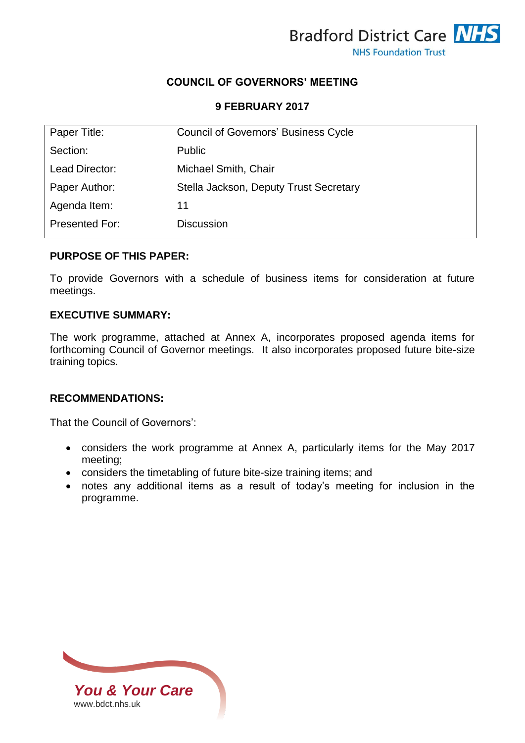

# **COUNCIL OF GOVERNORS' MEETING**

## **9 FEBRUARY 2017**

| Paper Title:   | <b>Council of Governors' Business Cycle</b> |
|----------------|---------------------------------------------|
| Section:       | <b>Public</b>                               |
| Lead Director: | Michael Smith, Chair                        |
| Paper Author:  | Stella Jackson, Deputy Trust Secretary      |
| Agenda Item:   | 11                                          |
| Presented For: | <b>Discussion</b>                           |

## **PURPOSE OF THIS PAPER:**

To provide Governors with a schedule of business items for consideration at future meetings.

#### **EXECUTIVE SUMMARY:**

The work programme, attached at Annex A, incorporates proposed agenda items for forthcoming Council of Governor meetings. It also incorporates proposed future bite-size training topics.

# **RECOMMENDATIONS:**

That the Council of Governors':

- considers the work programme at Annex A, particularly items for the May 2017 meeting;
- considers the timetabling of future bite-size training items; and
- notes any additional items as a result of today's meeting for inclusion in the programme.

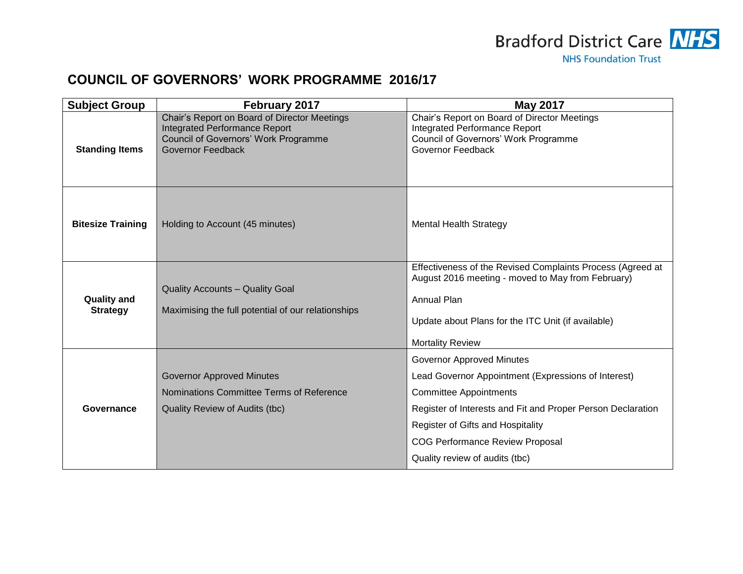

# **COUNCIL OF GOVERNORS' WORK PROGRAMME 2016/17**

| <b>Subject Group</b>                  | February 2017                                                                                                                                            | <b>May 2017</b>                                                                                                                                                                                                                                                                                          |
|---------------------------------------|----------------------------------------------------------------------------------------------------------------------------------------------------------|----------------------------------------------------------------------------------------------------------------------------------------------------------------------------------------------------------------------------------------------------------------------------------------------------------|
| <b>Standing Items</b>                 | Chair's Report on Board of Director Meetings<br><b>Integrated Performance Report</b><br><b>Council of Governors' Work Programme</b><br>Governor Feedback | Chair's Report on Board of Director Meetings<br><b>Integrated Performance Report</b><br>Council of Governors' Work Programme<br>Governor Feedback                                                                                                                                                        |
| <b>Bitesize Training</b>              | Holding to Account (45 minutes)                                                                                                                          | <b>Mental Health Strategy</b>                                                                                                                                                                                                                                                                            |
| <b>Quality and</b><br><b>Strategy</b> | <b>Quality Accounts - Quality Goal</b><br>Maximising the full potential of our relationships                                                             | Effectiveness of the Revised Complaints Process (Agreed at<br>August 2016 meeting - moved to May from February)<br><b>Annual Plan</b><br>Update about Plans for the ITC Unit (if available)<br><b>Mortality Review</b>                                                                                   |
| Governance                            | <b>Governor Approved Minutes</b><br>Nominations Committee Terms of Reference<br>Quality Review of Audits (tbc)                                           | <b>Governor Approved Minutes</b><br>Lead Governor Appointment (Expressions of Interest)<br><b>Committee Appointments</b><br>Register of Interests and Fit and Proper Person Declaration<br>Register of Gifts and Hospitality<br><b>COG Performance Review Proposal</b><br>Quality review of audits (tbc) |